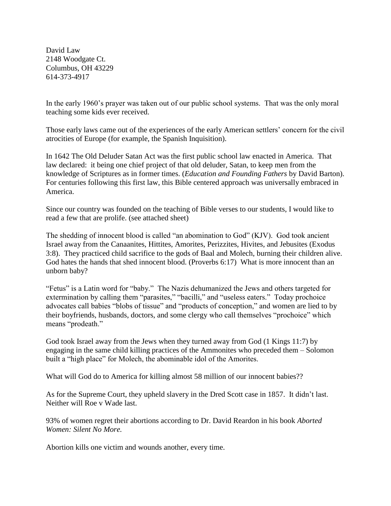David Law 2148 Woodgate Ct. Columbus, OH 43229 614-373-4917

In the early 1960's prayer was taken out of our public school systems. That was the only moral teaching some kids ever received.

Those early laws came out of the experiences of the early American settlers' concern for the civil atrocities of Europe (for example, the Spanish Inquisition).

In 1642 The Old Deluder Satan Act was the first public school law enacted in America. That law declared: it being one chief project of that old deluder, Satan, to keep men from the knowledge of Scriptures as in former times. (*Education and Founding Fathers* by David Barton). For centuries following this first law, this Bible centered approach was universally embraced in America.

Since our country was founded on the teaching of Bible verses to our students, I would like to read a few that are prolife. (see attached sheet)

The shedding of innocent blood is called "an abomination to God" (KJV). God took ancient Israel away from the Canaanites, Hittites, Amorites, Perizzites, Hivites, and Jebusites (Exodus 3:8). They practiced child sacrifice to the gods of Baal and Molech, burning their children alive. God hates the hands that shed innocent blood. (Proverbs 6:17) What is more innocent than an unborn baby?

"Fetus" is a Latin word for "baby." The Nazis dehumanized the Jews and others targeted for extermination by calling them "parasites," "bacilli," and "useless eaters." Today prochoice advocates call babies "blobs of tissue" and "products of conception," and women are lied to by their boyfriends, husbands, doctors, and some clergy who call themselves "prochoice" which means "prodeath."

God took Israel away from the Jews when they turned away from God (1 Kings 11:7) by engaging in the same child killing practices of the Ammonites who preceded them – Solomon built a "high place" for Molech, the abominable idol of the Amorites.

What will God do to America for killing almost 58 million of our innocent babies??

As for the Supreme Court, they upheld slavery in the Dred Scott case in 1857. It didn't last. Neither will Roe v Wade last.

93% of women regret their abortions according to Dr. David Reardon in his book *Aborted Women: Silent No More.*

Abortion kills one victim and wounds another, every time.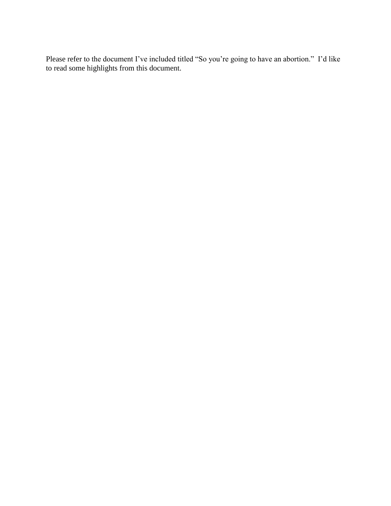Please refer to the document I've included titled "So you're going to have an abortion." I'd like to read some highlights from this document.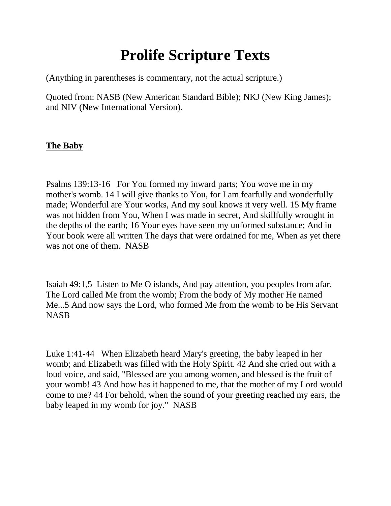## **Prolife Scripture Texts**

(Anything in parentheses is commentary, not the actual scripture.)

Quoted from: NASB (New American Standard Bible); NKJ (New King James); and NIV (New International Version).

#### **The Baby**

Psalms 139:13-16 For You formed my inward parts; You wove me in my mother's womb. 14 I will give thanks to You, for I am fearfully and wonderfully made; Wonderful are Your works, And my soul knows it very well. 15 My frame was not hidden from You, When I was made in secret, And skillfully wrought in the depths of the earth; 16 Your eyes have seen my unformed substance; And in Your book were all written The days that were ordained for me, When as yet there was not one of them. NASB

Isaiah 49:1,5 Listen to Me O islands, And pay attention, you peoples from afar. The Lord called Me from the womb; From the body of My mother He named Me...5 And now says the Lord, who formed Me from the womb to be His Servant **NASB** 

Luke 1:41-44 When Elizabeth heard Mary's greeting, the baby leaped in her womb; and Elizabeth was filled with the Holy Spirit. 42 And she cried out with a loud voice, and said, "Blessed are you among women, and blessed is the fruit of your womb! 43 And how has it happened to me, that the mother of my Lord would come to me? 44 For behold, when the sound of your greeting reached my ears, the baby leaped in my womb for joy." NASB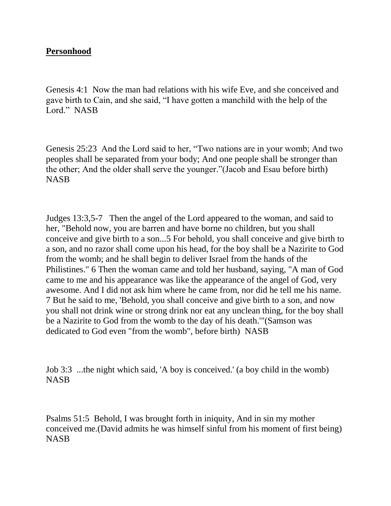#### **Personhood**

Genesis 4:1 Now the man had relations with his wife Eve, and she conceived and gave birth to Cain, and she said, "I have gotten a manchild with the help of the Lord." NASB

Genesis 25:23 And the Lord said to her, "Two nations are in your womb; And two peoples shall be separated from your body; And one people shall be stronger than the other; And the older shall serve the younger."(Jacob and Esau before birth) NASB

Judges 13:3,5-7 Then the angel of the Lord appeared to the woman, and said to her, "Behold now, you are barren and have borne no children, but you shall conceive and give birth to a son...5 For behold, you shall conceive and give birth to a son, and no razor shall come upon his head, for the boy shall be a Nazirite to God from the womb; and he shall begin to deliver Israel from the hands of the Philistines." 6 Then the woman came and told her husband, saying, "A man of God came to me and his appearance was like the appearance of the angel of God, very awesome. And I did not ask him where he came from, nor did he tell me his name. 7 But he said to me, 'Behold, you shall conceive and give birth to a son, and now you shall not drink wine or strong drink nor eat any unclean thing, for the boy shall be a Nazirite to God from the womb to the day of his death.'"(Samson was dedicated to God even "from the womb", before birth) NASB

Job 3:3 ...the night which said, 'A boy is conceived.' (a boy child in the womb) NASB

Psalms 51:5 Behold, I was brought forth in iniquity, And in sin my mother conceived me.(David admits he was himself sinful from his moment of first being) **NASB**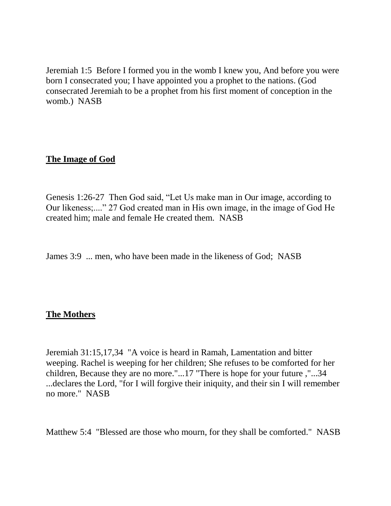Jeremiah 1:5 Before I formed you in the womb I knew you, And before you were born I consecrated you; I have appointed you a prophet to the nations. (God consecrated Jeremiah to be a prophet from his first moment of conception in the womb.) NASB

#### **The Image of God**

Genesis 1:26-27 Then God said, "Let Us make man in Our image, according to Our likeness;...." 27 God created man in His own image, in the image of God He created him; male and female He created them. NASB

James 3:9 ... men, who have been made in the likeness of God; NASB

#### **The Mothers**

Jeremiah 31:15,17,34 "A voice is heard in Ramah, Lamentation and bitter weeping. Rachel is weeping for her children; She refuses to be comforted for her children, Because they are no more."...17 "There is hope for your future ,"...34 ...declares the Lord, "for I will forgive their iniquity, and their sin I will remember no more." NASB

Matthew 5:4 "Blessed are those who mourn, for they shall be comforted." NASB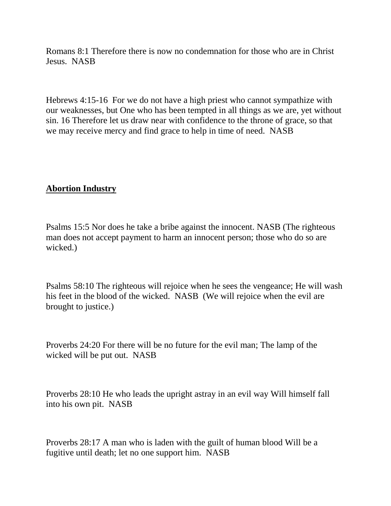Romans 8:1 Therefore there is now no condemnation for those who are in Christ Jesus. NASB

Hebrews 4:15-16 For we do not have a high priest who cannot sympathize with our weaknesses, but One who has been tempted in all things as we are, yet without sin. 16 Therefore let us draw near with confidence to the throne of grace, so that we may receive mercy and find grace to help in time of need. NASB

#### **Abortion Industry**

Psalms 15:5 Nor does he take a bribe against the innocent. NASB (The righteous man does not accept payment to harm an innocent person; those who do so are wicked.)

Psalms 58:10 The righteous will rejoice when he sees the vengeance; He will wash his feet in the blood of the wicked. NASB (We will rejoice when the evil are brought to justice.)

Proverbs 24:20 For there will be no future for the evil man; The lamp of the wicked will be put out. NASB

Proverbs 28:10 He who leads the upright astray in an evil way Will himself fall into his own pit. NASB

Proverbs 28:17 A man who is laden with the guilt of human blood Will be a fugitive until death; let no one support him. NASB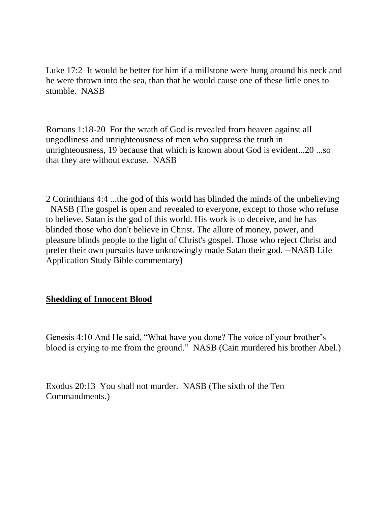Luke 17:2 It would be better for him if a millstone were hung around his neck and he were thrown into the sea, than that he would cause one of these little ones to stumble. NASB

Romans 1:18-20 For the wrath of God is revealed from heaven against all ungodliness and unrighteousness of men who suppress the truth in unrighteousness, 19 because that which is known about God is evident...20 ...so that they are without excuse. NASB

2 Corinthians 4:4 ...the god of this world has blinded the minds of the unbelieving NASB (The gospel is open and revealed to everyone, except to those who refuse to believe. Satan is the god of this world. His work is to deceive, and he has blinded those who don't believe in Christ. The allure of money, power, and pleasure blinds people to the light of Christ's gospel. Those who reject Christ and prefer their own pursuits have unknowingly made Satan their god. --NASB Life Application Study Bible commentary)

#### **Shedding of Innocent Blood**

Genesis 4:10 And He said, "What have you done? The voice of your brother's blood is crying to me from the ground." NASB (Cain murdered his brother Abel.)

Exodus 20:13 You shall not murder. NASB (The sixth of the Ten Commandments.)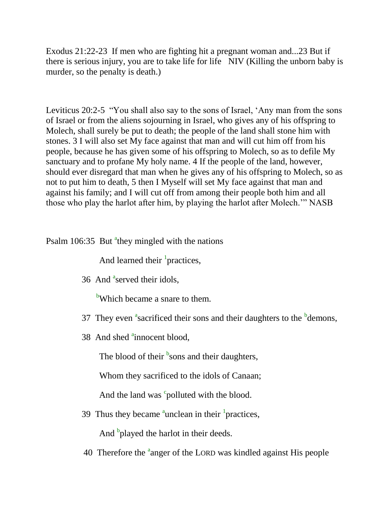Exodus 21:22-23 If men who are fighting hit a pregnant woman and...23 But if there is serious injury, you are to take life for life NIV (Killing the unborn baby is murder, so the penalty is death.)

Leviticus 20:2-5 "You shall also say to the sons of Israel, 'Any man from the sons of Israel or from the aliens sojourning in Israel, who gives any of his offspring to Molech, shall surely be put to death; the people of the land shall stone him with stones. 3 I will also set My face against that man and will cut him off from his people, because he has given some of his offspring to Molech, so as to defile My sanctuary and to profane My holy name. 4 If the people of the land, however, should ever disregard that man when he gives any of his offspring to Molech, so as not to put him to death, 5 then I Myself will set My face against that man and against his family; and I will cut off from among their people both him and all those who play the harlot after him, by playing the harlot after Molech.'" NASB

### Psalm 106:35 But <sup>a</sup>they mingled with the nations

And learned their <sup>1</sup> practices,

36 And <sup>a</sup>served their idols,

<sup>b</sup>Which became a snare to them.

- 37 They even <sup>a</sup>sacrificed their sons and their daughters to the  $<sup>b</sup>$  demons,</sup>
- 38 And shed <sup>a</sup>innocent blood,

The blood of their  $\frac{b}{2}$ sons and their daughters,

Whom they sacrificed to the idols of Canaan;

And the land was  $\degree$  polluted with the blood.

39 Thus they became  $\alpha$ <sup>a</sup>unclean in their <sup>1</sup> practices,

And <sup>b</sup>played the harlot in their deeds.

40 Therefore the <sup>a</sup>anger of the LORD was kindled against His people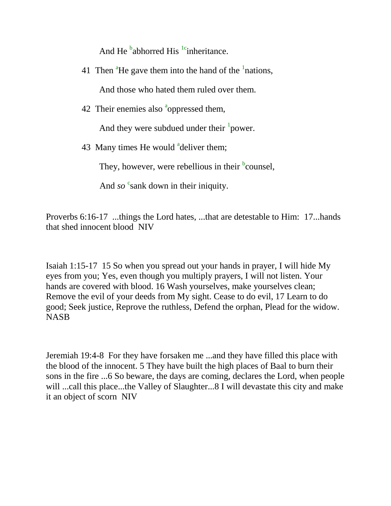And He  $<sup>b</sup>$ abhorred His  $<sup>1c</sup>$ inheritance.</sup></sup>

41 Then  ${}^{a}$ He gave them into the hand of the  ${}^{1}$ nations,

And those who hated them ruled over them.

42 Their enemies also <sup>a</sup>oppressed them,

And they were subdued under their  $\frac{1}{2}$  power.

43 Many times He would <sup>a</sup>deliver them;

They, however, were rebellious in their  $\frac{b}{c}$  counsel,

And *so* <sup>c</sup>sank down in their iniquity.

Proverbs 6:16-17 ...things the Lord hates, ...that are detestable to Him: 17...hands that shed innocent blood NIV

Isaiah 1:15-17 15 So when you spread out your hands in prayer, I will hide My eyes from you; Yes, even though you multiply prayers, I will not listen. Your hands are covered with blood. 16 Wash yourselves, make yourselves clean; Remove the evil of your deeds from My sight. Cease to do evil, 17 Learn to do good; Seek justice, Reprove the ruthless, Defend the orphan, Plead for the widow. **NASB** 

Jeremiah 19:4-8 For they have forsaken me ...and they have filled this place with the blood of the innocent. 5 They have built the high places of Baal to burn their sons in the fire ...6 So beware, the days are coming, declares the Lord, when people will ...call this place...the Valley of Slaughter...8 I will devastate this city and make it an object of scorn NIV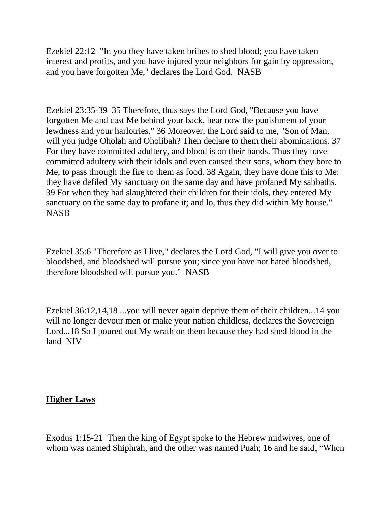Ezekiel 22:12 "In you they have taken bribes to shed blood; you have taken interest and profits, and you have injured your neighbors for gain by oppression, and you have forgotten Me," declares the Lord God. NASB

Ezekiel 23:35-39 35 Therefore, thus says the Lord God, "Because you have forgotten Me and cast Me behind your back, bear now the punishment of your lewdness and your harlotries." 36 Moreover, the Lord said to me, "Son of Man, will you judge Oholah and Oholibah? Then declare to them their abominations. 37 For they have committed adultery, and blood is on their hands. Thus they have committed adultery with their idols and even caused their sons, whom they bore to Me, to pass through the fire to them as food. 38 Again, they have done this to Me: they have defiled My sanctuary on the same day and have profaned My sabbaths. 39 For when they had slaughtered their children for their idols, they entered My sanctuary on the same day to profane it; and lo, thus they did within My house." **NASB** 

Ezekiel 35:6 "Therefore as I live," declares the Lord God, "I will give you over to bloodshed, and bloodshed will pursue you; since you have not hated bloodshed, therefore bloodshed will pursue you." NASB

Ezekiel 36:12,14,18 ...you will never again deprive them of their children...14 you will no longer devour men or make your nation childless, declares the Sovereign Lord...18 So I poured out My wrath on them because they had shed blood in the land NIV

#### **Higher Laws**

Exodus 1:15-21 Then the king of Egypt spoke to the Hebrew midwives, one of whom was named Shiphrah, and the other was named Puah; 16 and he said, "When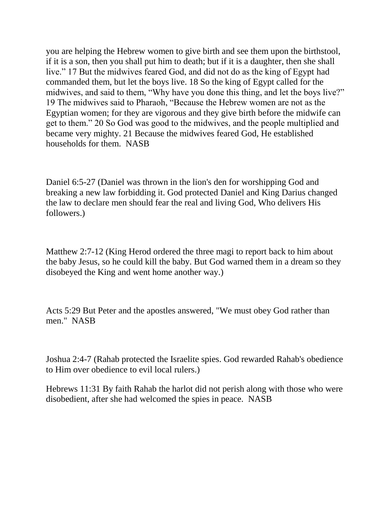you are helping the Hebrew women to give birth and see them upon the birthstool, if it is a son, then you shall put him to death; but if it is a daughter, then she shall live." 17 But the midwives feared God, and did not do as the king of Egypt had commanded them, but let the boys live. 18 So the king of Egypt called for the midwives, and said to them, "Why have you done this thing, and let the boys live?" 19 The midwives said to Pharaoh, "Because the Hebrew women are not as the Egyptian women; for they are vigorous and they give birth before the midwife can get to them." 20 So God was good to the midwives, and the people multiplied and became very mighty. 21 Because the midwives feared God, He established households for them. NASB

Daniel 6:5-27 (Daniel was thrown in the lion's den for worshipping God and breaking a new law forbidding it. God protected Daniel and King Darius changed the law to declare men should fear the real and living God, Who delivers His followers.)

Matthew 2:7-12 (King Herod ordered the three magi to report back to him about the baby Jesus, so he could kill the baby. But God warned them in a dream so they disobeyed the King and went home another way.)

Acts 5:29 But Peter and the apostles answered, "We must obey God rather than men." NASB

Joshua 2:4-7 (Rahab protected the Israelite spies. God rewarded Rahab's obedience to Him over obedience to evil local rulers.)

Hebrews 11:31 By faith Rahab the harlot did not perish along with those who were disobedient, after she had welcomed the spies in peace. NASB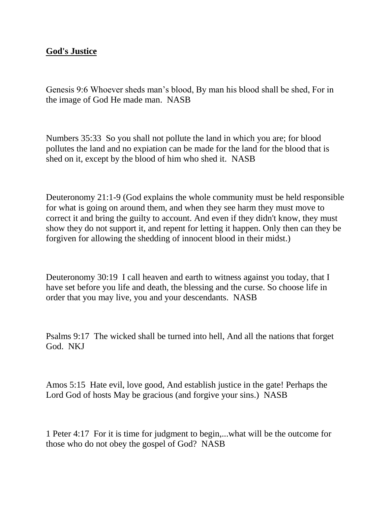#### **God's Justice**

Genesis 9:6 Whoever sheds man's blood, By man his blood shall be shed, For in the image of God He made man. NASB

Numbers 35:33 So you shall not pollute the land in which you are; for blood pollutes the land and no expiation can be made for the land for the blood that is shed on it, except by the blood of him who shed it. NASB

Deuteronomy 21:1-9 (God explains the whole community must be held responsible for what is going on around them, and when they see harm they must move to correct it and bring the guilty to account. And even if they didn't know, they must show they do not support it, and repent for letting it happen. Only then can they be forgiven for allowing the shedding of innocent blood in their midst.)

Deuteronomy 30:19 I call heaven and earth to witness against you today, that I have set before you life and death, the blessing and the curse. So choose life in order that you may live, you and your descendants. NASB

Psalms 9:17 The wicked shall be turned into hell, And all the nations that forget God. NKJ

Amos 5:15 Hate evil, love good, And establish justice in the gate! Perhaps the Lord God of hosts May be gracious (and forgive your sins.) NASB

1 Peter 4:17 For it is time for judgment to begin,...what will be the outcome for those who do not obey the gospel of God? NASB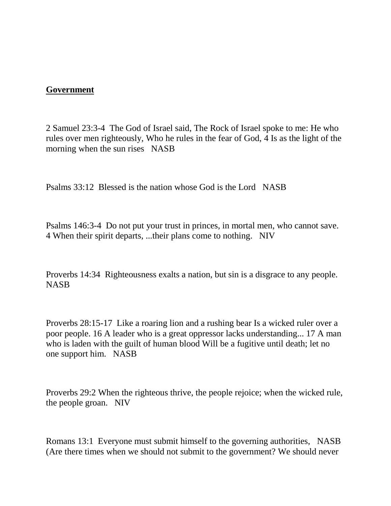#### **Government**

2 Samuel 23:3-4 The God of Israel said, The Rock of Israel spoke to me: He who rules over men righteously, Who he rules in the fear of God, 4 Is as the light of the morning when the sun rises NASB

Psalms 33:12 Blessed is the nation whose God is the Lord NASB

Psalms 146:3-4 Do not put your trust in princes, in mortal men, who cannot save. 4 When their spirit departs, ...their plans come to nothing. NIV

Proverbs 14:34 Righteousness exalts a nation, but sin is a disgrace to any people. **NASB** 

Proverbs 28:15-17 Like a roaring lion and a rushing bear Is a wicked ruler over a poor people. 16 A leader who is a great oppressor lacks understanding... 17 A man who is laden with the guilt of human blood Will be a fugitive until death; let no one support him. NASB

Proverbs 29:2 When the righteous thrive, the people rejoice; when the wicked rule, the people groan. NIV

Romans 13:1 Everyone must submit himself to the governing authorities, NASB (Are there times when we should not submit to the government? We should never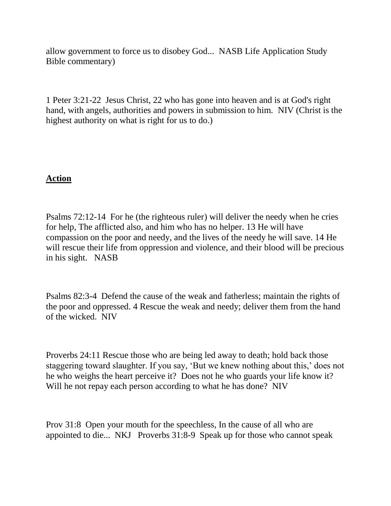allow government to force us to disobey God... NASB Life Application Study Bible commentary)

1 Peter 3:21-22 Jesus Christ, 22 who has gone into heaven and is at God's right hand, with angels, authorities and powers in submission to him. NIV (Christ is the highest authority on what is right for us to do.)

#### **Action**

Psalms 72:12-14 For he (the righteous ruler) will deliver the needy when he cries for help, The afflicted also, and him who has no helper. 13 He will have compassion on the poor and needy, and the lives of the needy he will save. 14 He will rescue their life from oppression and violence, and their blood will be precious in his sight. NASB

Psalms 82:3-4 Defend the cause of the weak and fatherless; maintain the rights of the poor and oppressed. 4 Rescue the weak and needy; deliver them from the hand of the wicked. NIV

Proverbs 24:11 Rescue those who are being led away to death; hold back those staggering toward slaughter. If you say, 'But we knew nothing about this,' does not he who weighs the heart perceive it? Does not he who guards your life know it? Will he not repay each person according to what he has done? NIV

Prov 31:8 Open your mouth for the speechless, In the cause of all who are appointed to die... NKJ Proverbs 31:8-9 Speak up for those who cannot speak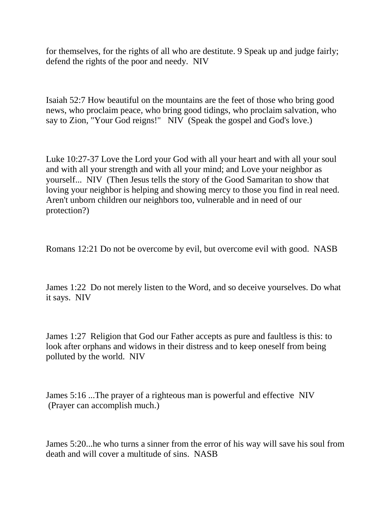for themselves, for the rights of all who are destitute. 9 Speak up and judge fairly; defend the rights of the poor and needy. NIV

Isaiah 52:7 How beautiful on the mountains are the feet of those who bring good news, who proclaim peace, who bring good tidings, who proclaim salvation, who say to Zion, "Your God reigns!" NIV (Speak the gospel and God's love.)

Luke 10:27-37 Love the Lord your God with all your heart and with all your soul and with all your strength and with all your mind; and Love your neighbor as yourself... NIV (Then Jesus tells the story of the Good Samaritan to show that loving your neighbor is helping and showing mercy to those you find in real need. Aren't unborn children our neighbors too, vulnerable and in need of our protection?)

Romans 12:21 Do not be overcome by evil, but overcome evil with good. NASB

James 1:22 Do not merely listen to the Word, and so deceive yourselves. Do what it says. NIV

James 1:27 Religion that God our Father accepts as pure and faultless is this: to look after orphans and widows in their distress and to keep oneself from being polluted by the world. NIV

James 5:16 ...The prayer of a righteous man is powerful and effective NIV (Prayer can accomplish much.)

James 5:20...he who turns a sinner from the error of his way will save his soul from death and will cover a multitude of sins. NASB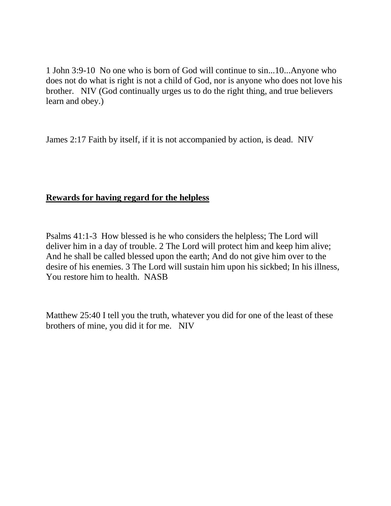1 John 3:9-10 No one who is born of God will continue to sin...10...Anyone who does not do what is right is not a child of God, nor is anyone who does not love his brother. NIV (God continually urges us to do the right thing, and true believers learn and obey.)

James 2:17 Faith by itself, if it is not accompanied by action, is dead. NIV

#### **Rewards for having regard for the helpless**

Psalms 41:1-3 How blessed is he who considers the helpless; The Lord will deliver him in a day of trouble. 2 The Lord will protect him and keep him alive; And he shall be called blessed upon the earth; And do not give him over to the desire of his enemies. 3 The Lord will sustain him upon his sickbed; In his illness, You restore him to health. NASB

Matthew 25:40 I tell you the truth, whatever you did for one of the least of these brothers of mine, you did it for me. NIV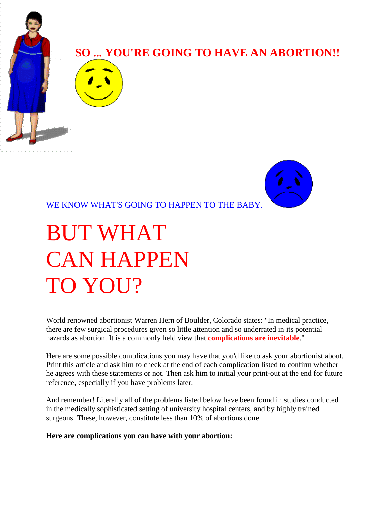

WE KNOW WHAT'S GOING TO HAPPEN TO THE BABY.

# BUT WHAT CAN HAPPEN TO YOU?

World renowned abortionist Warren Hern of Boulder, Colorado states: "In medical practice, there are few surgical procedures given so little attention and so underrated in its potential hazards as abortion. It is a commonly held view that **complications are inevitable**."

Here are some possible complications you may have that you'd like to ask your abortionist about. Print this article and ask him to check at the end of each complication listed to confirm whether he agrees with these statements or not. Then ask him to initial your print-out at the end for future reference, especially if you have problems later.

And remember! Literally all of the problems listed below have been found in studies conducted in the medically sophisticated setting of university hospital centers, and by highly trained surgeons. These, however, constitute less than 10% of abortions done.

**Here are complications you can have with your abortion:**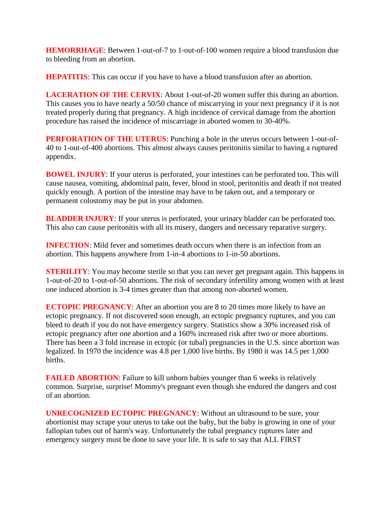**HEMORRHAGE:** Between 1-out-of-7 to 1-out-of-100 women require a blood transfusion due to bleeding from an abortion.

**HEPATITIS:** This can occur if you have to have a blood transfusion after an abortion.

**LACERATION OF THE CERVIX**: About 1-out-of-20 women suffer this during an abortion. This causes you to have nearly a 50/50 chance of miscarrying in your next pregnancy if it is not treated properly during that pregnancy. A high incidence of cervical damage from the abortion procedure has raised the incidence of miscarriage in aborted women to 30-40%.

**PERFORATION OF THE UTERUS**: Punching a hole in the uterus occurs between 1-out-of-40 to 1-out-of-400 abortions. This almost always causes peritonitis similar to having a ruptured appendix.

**BOWEL INJURY**: If your uterus is perforated, your intestines can be perforated too. This will cause nausea, vomiting, abdominal pain, fever, blood in stool, peritonitis and death if not treated quickly enough. A portion of the intestine may have to be taken out, and a temporary or permanent colostomy may be put in your abdomen.

**BLADDER INJURY**: If your uterus is perforated, your urinary bladder can be perforated too. This also can cause peritonitis with all its misery, dangers and necessary reparative surgery.

**INFECTION:** Mild fever and sometimes death occurs when there is an infection from an abortion. This happens anywhere from 1-in-4 abortions to 1-in-50 abortions.

**STERILITY:** You may become sterile so that you can never get pregnant again. This happens in 1-out-of-20 to 1-out-of-50 abortions. The risk of secondary infertility among women with at least one induced abortion is 3-4 times greater than that among non-aborted women.

**ECTOPIC PREGNANCY:** After an abortion you are 8 to 20 times more likely to have an ectopic pregnancy. If not discovered soon enough, an ectopic pregnancy ruptures, and you can bleed to death if you do not have emergency surgery. Statistics show a 30% increased risk of ectopic pregnancy after one abortion and a 160% increased risk after two or more abortions. There has been a 3 fold increase in ectopic (or tubal) pregnancies in the U.S. since abortion was legalized. In 1970 the incidence was 4.8 per 1,000 live births. By 1980 it was 14.5 per 1,000 births.

**FAILED ABORTION:** Failure to kill unborn babies younger than 6 weeks is relatively common. Surprise, surprise! Mommy's pregnant even though she endured the dangers and cost of an abortion.

**UNRECOGNIZED ECTOPIC PREGNANCY**: Without an ultrasound to be sure, your abortionist may scrape your uterus to take out the baby, but the baby is growing in one of your fallopian tubes out of harm's way. Unfortunately the tubal pregnancy ruptures later and emergency surgery must be done to save your life. It is safe to say that ALL FIRST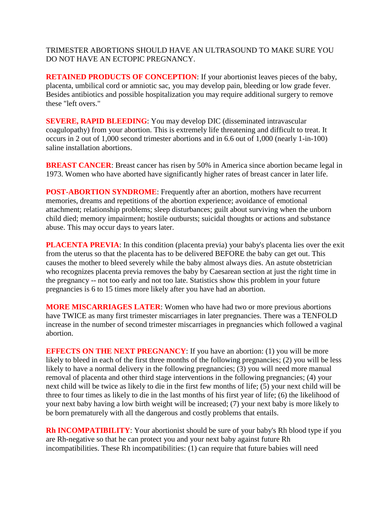TRIMESTER ABORTIONS SHOULD HAVE AN ULTRASOUND TO MAKE SURE YOU DO NOT HAVE AN ECTOPIC PREGNANCY.

**RETAINED PRODUCTS OF CONCEPTION:** If your abortionist leaves pieces of the baby, placenta, umbilical cord or amniotic sac, you may develop pain, bleeding or low grade fever. Besides antibiotics and possible hospitalization you may require additional surgery to remove these "left overs."

**SEVERE, RAPID BLEEDING**: You may develop DIC (disseminated intravascular coagulopathy) from your abortion. This is extremely life threatening and difficult to treat. It occurs in 2 out of 1,000 second trimester abortions and in 6.6 out of 1,000 (nearly 1-in-100) saline installation abortions.

**BREAST CANCER:** Breast cancer has risen by 50% in America since abortion became legal in 1973. Women who have aborted have significantly higher rates of breast cancer in later life.

**POST-ABORTION SYNDROME:** Frequently after an abortion, mothers have recurrent memories, dreams and repetitions of the abortion experience; avoidance of emotional attachment; relationship problems; sleep disturbances; guilt about surviving when the unborn child died; memory impairment; hostile outbursts; suicidal thoughts or actions and substance abuse. This may occur days to years later.

**PLACENTA PREVIA:** In this condition (placenta previa) your baby's placenta lies over the exit from the uterus so that the placenta has to be delivered BEFORE the baby can get out. This causes the mother to bleed severely while the baby almost always dies. An astute obstetrician who recognizes placenta previa removes the baby by Caesarean section at just the right time in the pregnancy -- not too early and not too late. Statistics show this problem in your future pregnancies is 6 to 15 times more likely after you have had an abortion.

**MORE MISCARRIAGES LATER**: Women who have had two or more previous abortions have TWICE as many first trimester miscarriages in later pregnancies. There was a TENFOLD increase in the number of second trimester miscarriages in pregnancies which followed a vaginal abortion.

**EFFECTS ON THE NEXT PREGNANCY**: If you have an abortion: (1) you will be more likely to bleed in each of the first three months of the following pregnancies; (2) you will be less likely to have a normal delivery in the following pregnancies; (3) you will need more manual removal of placenta and other third stage interventions in the following pregnancies; (4) your next child will be twice as likely to die in the first few months of life; (5) your next child will be three to four times as likely to die in the last months of his first year of life; (6) the likelihood of your next baby having a low birth weight will be increased; (7) your next baby is more likely to be born prematurely with all the dangerous and costly problems that entails.

**Rh INCOMPATIBILITY**: Your abortionist should be sure of your baby's Rh blood type if you are Rh-negative so that he can protect you and your next baby against future Rh incompatibilities. These Rh incompatibilities: (1) can require that future babies will need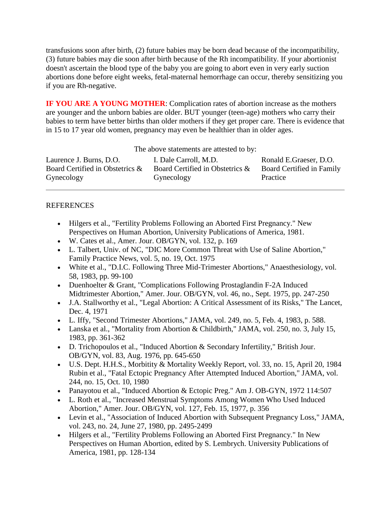transfusions soon after birth, (2) future babies may be born dead because of the incompatibility, (3) future babies may die soon after birth because of the Rh incompatibility. If your abortionist doesn't ascertain the blood type of the baby you are going to abort even in very early suction abortions done before eight weeks, fetal-maternal hemorrhage can occur, thereby sensitizing you if you are Rh-negative.

**IF YOU ARE A YOUNG MOTHER**: Complication rates of abortion increase as the mothers are younger and the unborn babies are older. BUT younger (teen-age) mothers who carry their babies to term have better births than older mothers if they get proper care. There is evidence that in 15 to 17 year old women, pregnancy may even be healthier than in older ages.

The above statements are attested to by:

| Laurence J. Burns, D.O.         | I. Dale Carroll, M.D.           | Ronald E.Graeser, D.O.    |
|---------------------------------|---------------------------------|---------------------------|
| Board Certified in Obstetrics & | Board Certified in Obstetrics & | Board Certified in Family |
| Gynecology                      | Gynecology                      | Practice                  |

#### **REFERENCES**

- Hilgers et al., "Fertility Problems Following an Aborted First Pregnancy." New Perspectives on Human Abortion, University Publications of America, 1981.
- W. Cates et al., Amer. Jour. OB/GYN, vol. 132, p. 169
- L. Talbert, Univ. of NC, "DIC More Common Threat with Use of Saline Abortion," Family Practice News, vol. 5, no. 19, Oct. 1975
- White et al., "D.I.C. Following Three Mid-Trimester Abortions," Anaesthesiology, vol. 58, 1983, pp. 99-100
- Duenhoelter & Grant, "Complications Following Prostaglandin F-2A Induced Midtrimester Abortion," Amer. Jour. OB/GYN, vol. 46, no., Sept. 1975, pp. 247-250
- J.A. Stallworthy et al., "Legal Abortion: A Critical Assessment of its Risks," The Lancet, Dec. 4, 1971
- L. Iffy, "Second Trimester Abortions," JAMA, vol. 249, no. 5, Feb. 4, 1983, p. 588.
- Lanska et al., "Mortality from Abortion & Childbirth," JAMA, vol. 250, no. 3, July 15, 1983, pp. 361-362
- D. Trichopoulos et al., "Induced Abortion & Secondary Infertility," British Jour. OB/GYN, vol. 83, Aug. 1976, pp. 645-650
- U.S. Dept. H.H.S., Morbitity & Mortality Weekly Report, vol. 33, no. 15, April 20, 1984 Rubin et al., "Fatal Ectopic Pregnancy After Attempted Induced Abortion," JAMA, vol. 244, no. 15, Oct. 10, 1980
- Panayotou et al., "Induced Abortion & Ectopic Preg." Am J. OB-GYN, 1972 114:507
- L. Roth et al., "Increased Menstrual Symptoms Among Women Who Used Induced Abortion," Amer. Jour. OB/GYN, vol. 127, Feb. 15, 1977, p. 356
- Levin et al., "Association of Induced Abortion with Subsequent Pregnancy Loss," JAMA, vol. 243, no. 24, June 27, 1980, pp. 2495-2499
- Hilgers et al., "Fertility Problems Following an Aborted First Pregnancy." In New Perspectives on Human Abortion, edited by S. Lembrych. University Publications of America, 1981, pp. 128-134